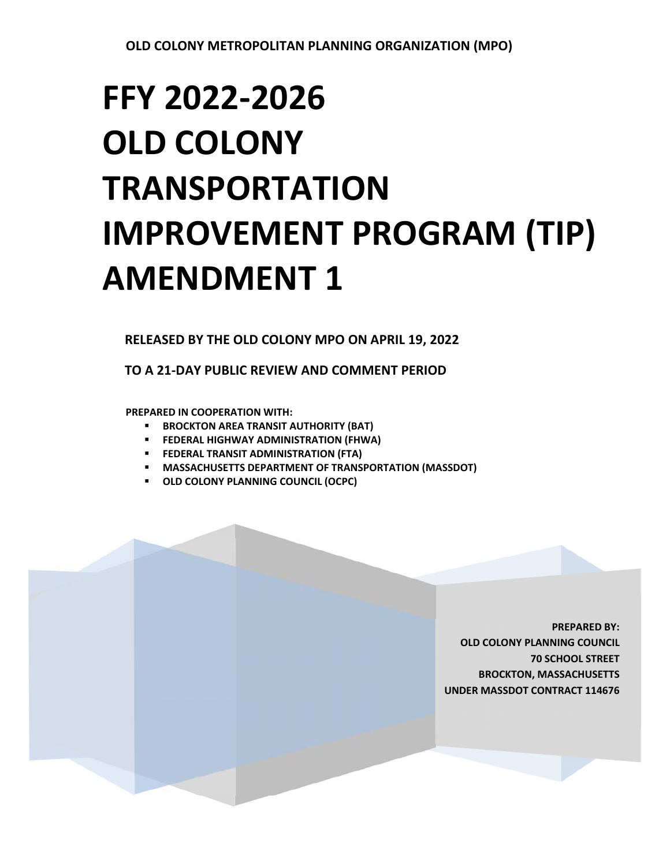# **FFY 2022‐2026 OLD COLONY TRANSPORTATION IMPROVEMENT PROGRAM (TIP) AMENDMENT 1**

**RELEASED BY THE OLD COLONY MPO ON APRIL 19, 2022** 

**TO A 21‐DAY PUBLIC REVIEW AND COMMENT PERIOD** 

**PREPARED IN COOPERATION WITH:** 

- **BROCKTON AREA TRANSIT AUTHORITY (BAT)**
- **FEDERAL HIGHWAY ADMINISTRATION (FHWA)**
- **FEDERAL TRANSIT ADMINISTRATION (FTA)**
- **MASSACHUSETTS DEPARTMENT OF TRANSPORTATION (MASSDOT)**
- **OLD COLONY PLANNING COUNCIL (OCPC)**

**PREPARED BY: OLD COLONY PLANNING COUNCIL 70 SCHOOL STREET BROCKTON, MASSACHUSETTS UNDER MASSDOT CONTRACT 114676**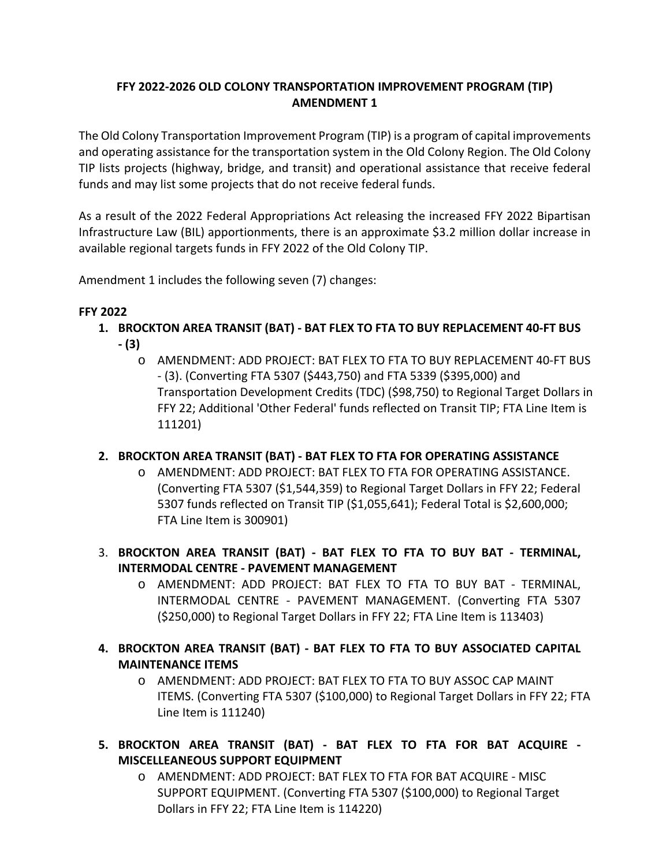## **FFY 2022‐2026 OLD COLONY TRANSPORTATION IMPROVEMENT PROGRAM (TIP) AMENDMENT 1**

The Old Colony Transportation Improvement Program (TIP) is a program of capital improvements and operating assistance for the transportation system in the Old Colony Region. The Old Colony TIP lists projects (highway, bridge, and transit) and operational assistance that receive federal funds and may list some projects that do not receive federal funds.

As a result of the 2022 Federal Appropriations Act releasing the increased FFY 2022 Bipartisan Infrastructure Law (BIL) apportionments, there is an approximate \$3.2 million dollar increase in available regional targets funds in FFY 2022 of the Old Colony TIP.

Amendment 1 includes the following seven (7) changes:

### **FFY 2022**

- **1. BROCKTON AREA TRANSIT (BAT) ‐ BAT FLEX TO FTA TO BUY REPLACEMENT 40‐FT BUS**
	- **‐ (3)** 
		- o AMENDMENT: ADD PROJECT: BAT FLEX TO FTA TO BUY REPLACEMENT 40‐FT BUS ‐ (3). (Converting FTA 5307 (\$443,750) and FTA 5339 (\$395,000) and Transportation Development Credits (TDC) (\$98,750) to Regional Target Dollars in FFY 22; Additional 'Other Federal' funds reflected on Transit TIP; FTA Line Item is 111201)

### **2. BROCKTON AREA TRANSIT (BAT) ‐ BAT FLEX TO FTA FOR OPERATING ASSISTANCE**

- o AMENDMENT: ADD PROJECT: BAT FLEX TO FTA FOR OPERATING ASSISTANCE. (Converting FTA 5307 (\$1,544,359) to Regional Target Dollars in FFY 22; Federal 5307 funds reflected on Transit TIP (\$1,055,641); Federal Total is \$2,600,000; FTA Line Item is 300901)
- 3. **BROCKTON AREA TRANSIT (BAT) ‐ BAT FLEX TO FTA TO BUY BAT ‐ TERMINAL, INTERMODAL CENTRE ‐ PAVEMENT MANAGEMENT**
	- o AMENDMENT: ADD PROJECT: BAT FLEX TO FTA TO BUY BAT ‐ TERMINAL, INTERMODAL CENTRE ‐ PAVEMENT MANAGEMENT. (Converting FTA 5307 (\$250,000) to Regional Target Dollars in FFY 22; FTA Line Item is 113403)
- **4. BROCKTON AREA TRANSIT (BAT) ‐ BAT FLEX TO FTA TO BUY ASSOCIATED CAPITAL MAINTENANCE ITEMS**
	- o AMENDMENT: ADD PROJECT: BAT FLEX TO FTA TO BUY ASSOC CAP MAINT ITEMS. (Converting FTA 5307 (\$100,000) to Regional Target Dollars in FFY 22; FTA Line Item is 111240)
- **5. BROCKTON AREA TRANSIT (BAT) ‐ BAT FLEX TO FTA FOR BAT ACQUIRE ‐ MISCELLEANEOUS SUPPORT EQUIPMENT**
	- o AMENDMENT: ADD PROJECT: BAT FLEX TO FTA FOR BAT ACQUIRE ‐ MISC SUPPORT EQUIPMENT. (Converting FTA 5307 (\$100,000) to Regional Target Dollars in FFY 22; FTA Line Item is 114220)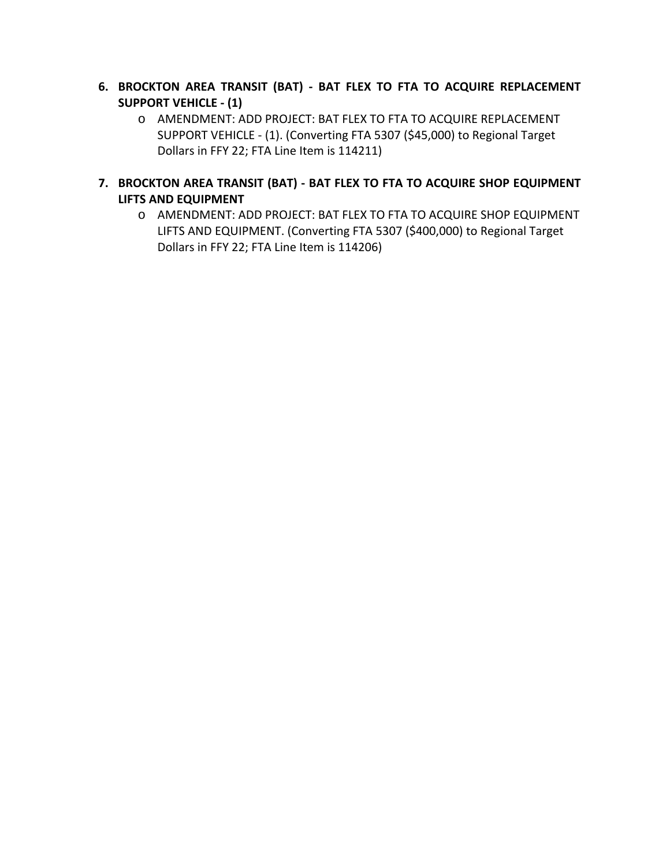- **6. BROCKTON AREA TRANSIT (BAT) ‐ BAT FLEX TO FTA TO ACQUIRE REPLACEMENT SUPPORT VEHICLE ‐ (1)** 
	- o AMENDMENT: ADD PROJECT: BAT FLEX TO FTA TO ACQUIRE REPLACEMENT SUPPORT VEHICLE ‐ (1). (Converting FTA 5307 (\$45,000) to Regional Target Dollars in FFY 22; FTA Line Item is 114211)
- **7. BROCKTON AREA TRANSIT (BAT) ‐ BAT FLEX TO FTA TO ACQUIRE SHOP EQUIPMENT LIFTS AND EQUIPMENT** 
	- o AMENDMENT: ADD PROJECT: BAT FLEX TO FTA TO ACQUIRE SHOP EQUIPMENT LIFTS AND EQUIPMENT. (Converting FTA 5307 (\$400,000) to Regional Target Dollars in FFY 22; FTA Line Item is 114206)